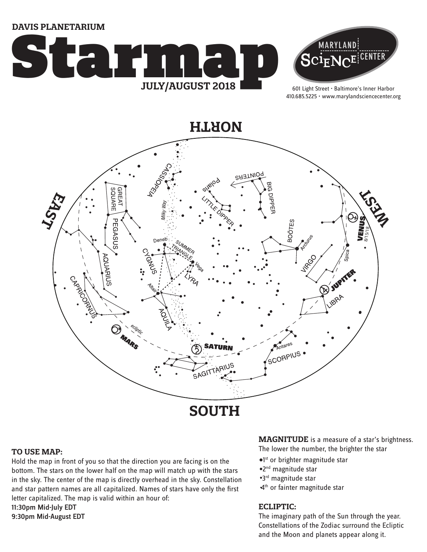**DAVIS PLANETARIUM**





601 Light Street • Baltimore's Inner Harbor 410.685.5225 • www.marylandsciencecenter.org

**NORTH**



#### **TO USE MAP:**

Hold the map in front of you so that the direction you are facing is on the bottom. The stars on the lower half on the map will match up with the stars in the sky. The center of the map is directly overhead in the sky. Constellation and star pattern names are all capitalized. Names of stars have only the first letter capitalized. The map is valid within an hour of: 11:30pm Mid-July EDT 9:30pm Mid-August EDT

**MAGNITUDE** is a measure of a star's brightness.

The lower the number, the brighter the star

- <sup>o1st</sup> or brighter magnitude star
- 2nd magnitude star
- 3rd magnitude star
- 4<sup>th</sup> or fainter magnitude star

#### **ECLIPTIC:**

The imaginary path of the Sun through the year. Constellations of the Zodiac surround the Ecliptic and the Moon and planets appear along it.